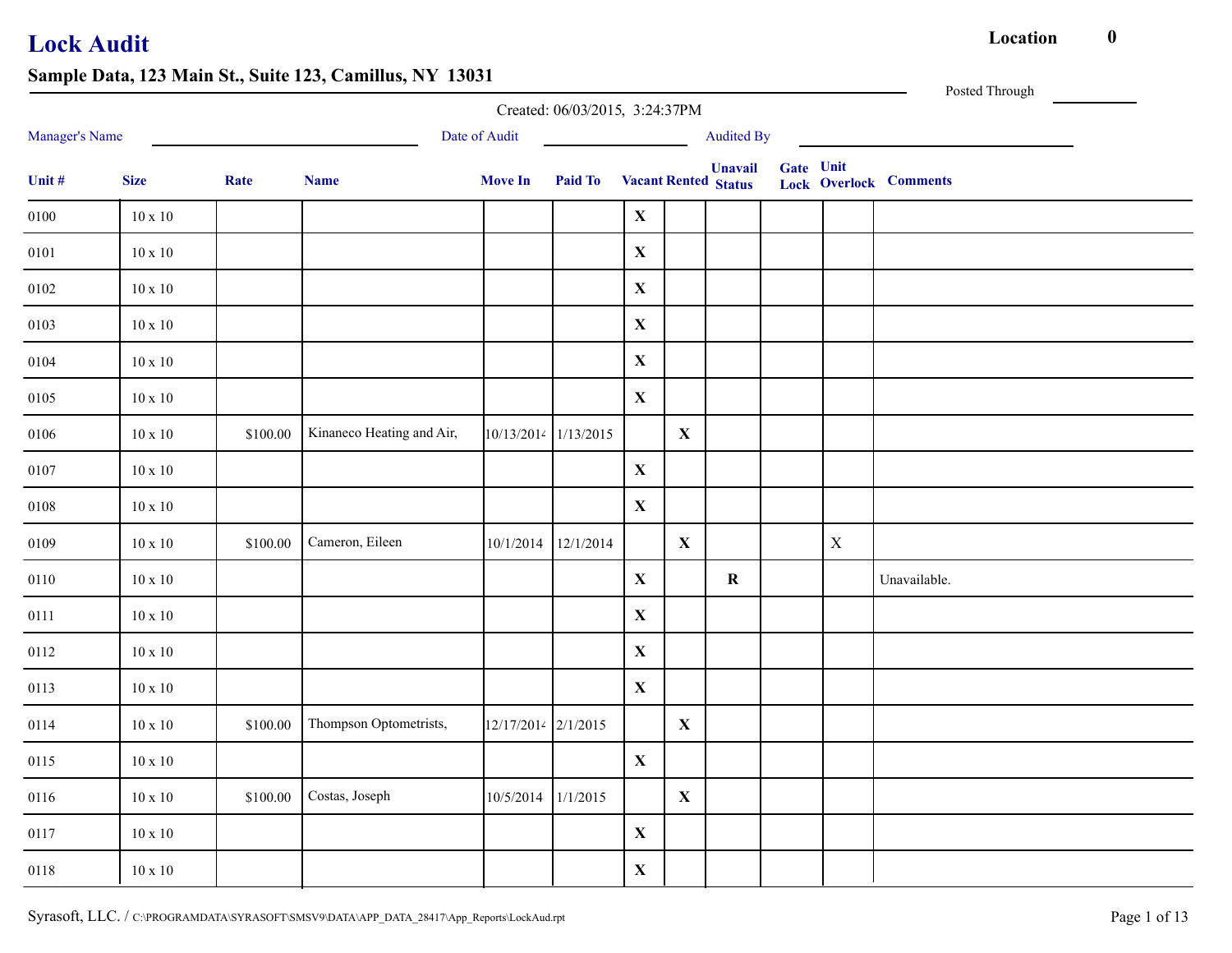|                |                |          |                           |                      | Created: 06/03/2015, 3:24:37PM |              |              |                                               |           |             | Posted Through                |
|----------------|----------------|----------|---------------------------|----------------------|--------------------------------|--------------|--------------|-----------------------------------------------|-----------|-------------|-------------------------------|
| Manager's Name |                |          |                           | Date of Audit        |                                |              |              | <b>Audited By</b>                             |           |             |                               |
| Unit #         | <b>Size</b>    | Rate     | <b>Name</b>               | <b>Move In</b>       | <b>Paid To</b>                 |              |              | <b>Unavail</b><br><b>Vacant Rented Status</b> | Gate Unit |             | <b>Lock Overlock Comments</b> |
| $0100\,$       | $10 \times 10$ |          |                           |                      |                                | $\mathbf{X}$ |              |                                               |           |             |                               |
| 0101           | $10 \ge 10$    |          |                           |                      |                                | $\mathbf X$  |              |                                               |           |             |                               |
| 0102           | $10 \ge 10$    |          |                           |                      |                                | $\mathbf X$  |              |                                               |           |             |                               |
| 0103           | $10 \ge 10$    |          |                           |                      |                                | $\mathbf X$  |              |                                               |           |             |                               |
| 0104           | $10 \ge 10$    |          |                           |                      |                                | $\mathbf X$  |              |                                               |           |             |                               |
| 0105           | $10 \ge 10$    |          |                           |                      |                                | $\mathbf X$  |              |                                               |           |             |                               |
| 0106           | $10\ge10$      | \$100.00 | Kinaneco Heating and Air, | 10/13/2014 1/13/2015 |                                |              | $\mathbf{X}$ |                                               |           |             |                               |
| 0107           | $10\ge10$      |          |                           |                      |                                | $\mathbf X$  |              |                                               |           |             |                               |
| 0108           | $10 \ge 10$    |          |                           |                      |                                | $\mathbf X$  |              |                                               |           |             |                               |
| 0109           | $10\ge10$      | \$100.00 | Cameron, Eileen           |                      | 10/1/2014 12/1/2014            |              | $\mathbf{X}$ |                                               |           | $\mathbf X$ |                               |
| 0110           | $10\ge10$      |          |                           |                      |                                | $\mathbf X$  |              | $\bf R$                                       |           |             | Unavailable.                  |
| 0111           | $10\ge10$      |          |                           |                      |                                | $\mathbf X$  |              |                                               |           |             |                               |
| 0112           | $10\ge10$      |          |                           |                      |                                | $\mathbf X$  |              |                                               |           |             |                               |
| 0113           | $10\ge10$      |          |                           |                      |                                | $\mathbf X$  |              |                                               |           |             |                               |
| 0114           | $10\ge10$      | \$100.00 | Thompson Optometrists,    | 12/17/2014 2/1/2015  |                                |              | $\mathbf{X}$ |                                               |           |             |                               |
| 0115           | $10 \ge 10$    |          |                           |                      |                                | $\mathbf X$  |              |                                               |           |             |                               |
| 0116           | $10\ge10$      | \$100.00 | Costas, Joseph            | 10/5/2014 1/1/2015   |                                |              | $\mathbf{X}$ |                                               |           |             |                               |
| 0117           | $10\ge10$      |          |                           |                      |                                | $\mathbf X$  |              |                                               |           |             |                               |
| 0118           | $10 \ge 10$    |          |                           |                      |                                | $\mathbf X$  |              |                                               |           |             |                               |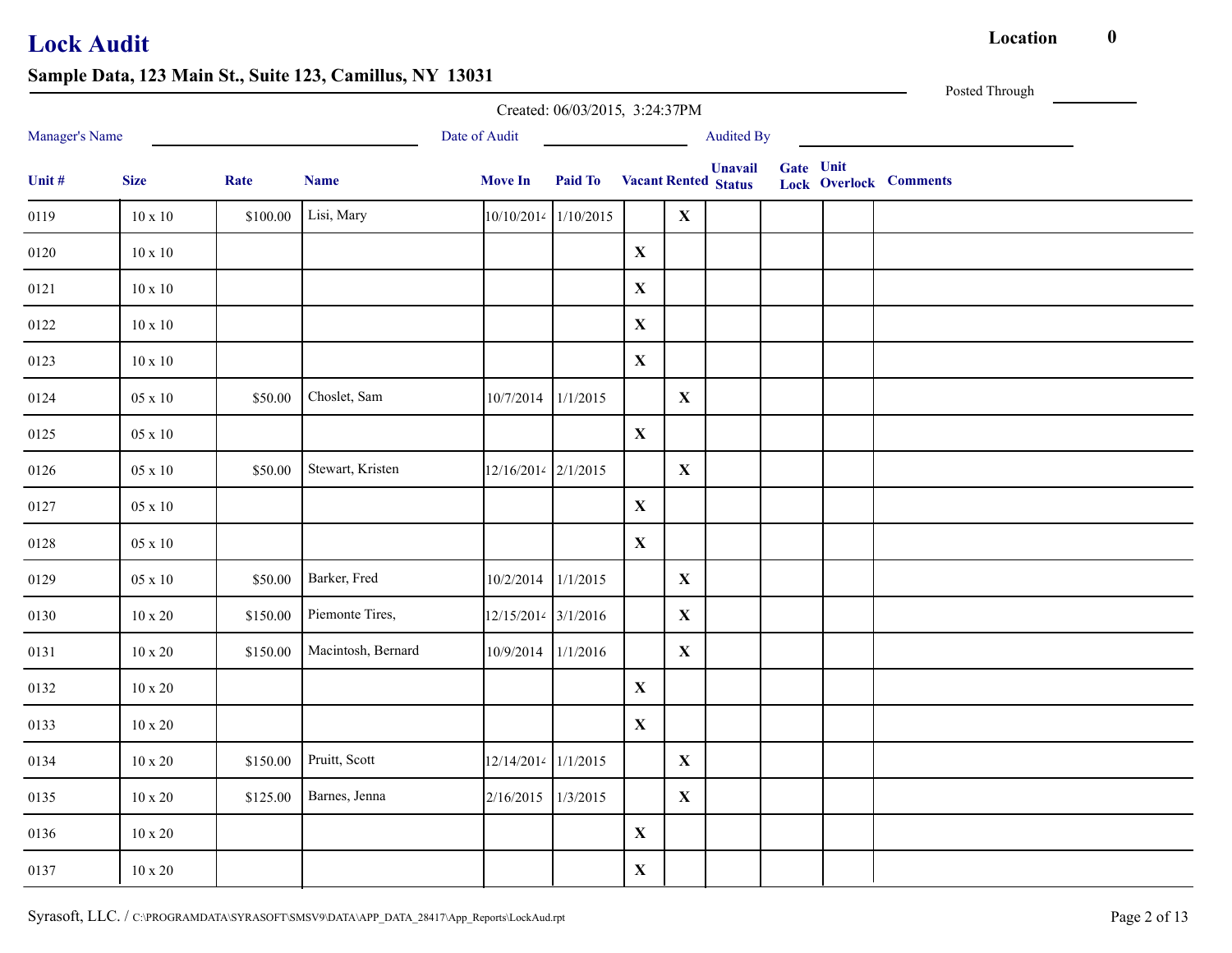|                |                |          |                    |                        | Created: 06/03/2015, 3:24:37PM      |              |              |                   |           | Posted Through                |
|----------------|----------------|----------|--------------------|------------------------|-------------------------------------|--------------|--------------|-------------------|-----------|-------------------------------|
| Manager's Name |                |          |                    | Date of Audit          |                                     |              |              | <b>Audited By</b> |           |                               |
| Unit #         | <b>Size</b>    | Rate     | <b>Name</b>        | <b>Move In</b>         | <b>Paid To</b> Vacant Rented Status |              |              | <b>Unavail</b>    | Gate Unit | <b>Lock Overlock Comments</b> |
| 0119           | $10 \times 10$ | \$100.00 | Lisi, Mary         | $10/10/2014$ 1/10/2015 |                                     |              | $\mathbf{X}$ |                   |           |                               |
| 0120           | $10\ge10$      |          |                    |                        |                                     | $\mathbf X$  |              |                   |           |                               |
| 0121           | $10 \ge 10$    |          |                    |                        |                                     | $\mathbf{X}$ |              |                   |           |                               |
| 0122           | $10 \ge 10$    |          |                    |                        |                                     | $\mathbf X$  |              |                   |           |                               |
| 0123           | $10 \times 10$ |          |                    |                        |                                     | $\mathbf{X}$ |              |                   |           |                               |
| 0124           | $05 \ge 10$    | \$50.00  | Choslet, Sam       | 10/7/2014 1/1/2015     |                                     |              | $\mathbf{X}$ |                   |           |                               |
| 0125           | $05 \times 10$ |          |                    |                        |                                     | $\mathbf{X}$ |              |                   |           |                               |
| 0126           | $05 \ge 10$    | \$50.00  | Stewart, Kristen   | 12/16/2014 2/1/2015    |                                     |              | $\mathbf{X}$ |                   |           |                               |
| 0127           | $05 \ge 10$    |          |                    |                        |                                     | $\mathbf{X}$ |              |                   |           |                               |
| 0128           | $05 \ge 10$    |          |                    |                        |                                     | $\mathbf X$  |              |                   |           |                               |
| 0129           | 05 x 10        | \$50.00  | Barker, Fred       | 10/2/2014 1/1/2015     |                                     |              | $\mathbf{X}$ |                   |           |                               |
| 0130           | $10 \ge 20$    | \$150.00 | Piemonte Tires,    | 12/15/2014 3/1/2016    |                                     |              | $\mathbf{X}$ |                   |           |                               |
| 0131           | $10 \ge 20$    | \$150.00 | Macintosh, Bernard | 10/9/2014 1/1/2016     |                                     |              | $\mathbf{X}$ |                   |           |                               |
| 0132           | $10 \times 20$ |          |                    |                        |                                     | $\mathbf X$  |              |                   |           |                               |
| 0133           | $10\ge 20$     |          |                    |                        |                                     | $\mathbf X$  |              |                   |           |                               |
| 0134           | $10 \ge 20$    | \$150.00 | Pruitt, Scott      | 12/14/2014 1/1/2015    |                                     |              | $\mathbf{X}$ |                   |           |                               |
| 0135           | $10\ge 20$     | \$125.00 | Barnes, Jenna      | 2/16/2015 1/3/2015     |                                     |              | $\mathbf{X}$ |                   |           |                               |
| 0136           | $10 \ge 20$    |          |                    |                        |                                     | $\mathbf X$  |              |                   |           |                               |
| 0137           | $10 \ge 20$    |          |                    |                        |                                     | $\mathbf X$  |              |                   |           |                               |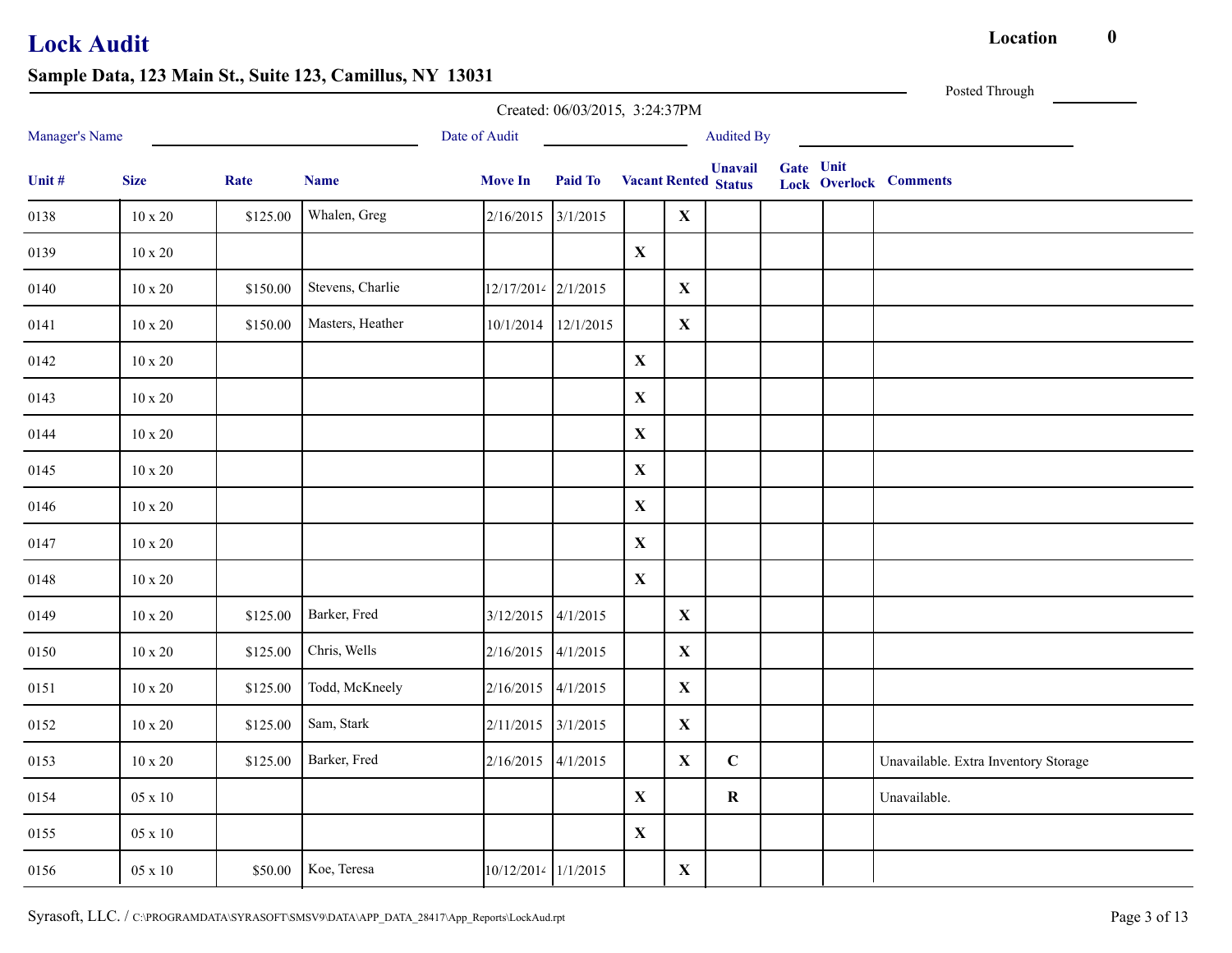Posted Through

|                |                |          |                  |                     | Created: 06/03/2015, 3:24:37PM |              |              |                                               |           |                                      |
|----------------|----------------|----------|------------------|---------------------|--------------------------------|--------------|--------------|-----------------------------------------------|-----------|--------------------------------------|
| Manager's Name |                |          |                  | Date of Audit       |                                |              |              | <b>Audited By</b>                             |           |                                      |
| Unit #         | <b>Size</b>    | Rate     | <b>Name</b>      | <b>Move In</b>      | Paid To                        |              |              | <b>Unavail</b><br><b>Vacant Rented Status</b> | Gate Unit | <b>Lock Overlock Comments</b>        |
| 0138           | $10\ge 20$     | \$125.00 | Whalen, Greg     | 2/16/2015           | 3/1/2015                       |              | $\mathbf X$  |                                               |           |                                      |
| 0139           | $10 \times 20$ |          |                  |                     |                                | $\mathbf{X}$ |              |                                               |           |                                      |
| 0140           | $10 \ge 20$    | \$150.00 | Stevens, Charlie | 12/17/2014 2/1/2015 |                                |              | $\mathbf{X}$ |                                               |           |                                      |
| 0141           | $10 \times 20$ | \$150.00 | Masters, Heather | 10/1/2014           | 12/1/2015                      |              | $\mathbf{X}$ |                                               |           |                                      |
| 0142           | $10 \ge 20$    |          |                  |                     |                                | $\mathbf{X}$ |              |                                               |           |                                      |
| 0143           | $10 \times 20$ |          |                  |                     |                                | $\mathbf{X}$ |              |                                               |           |                                      |
| 0144           | $10 \ge 20$    |          |                  |                     |                                | $\mathbf X$  |              |                                               |           |                                      |
| 0145           | $10 \times 20$ |          |                  |                     |                                | $\mathbf X$  |              |                                               |           |                                      |
| 0146           | $10 \times 20$ |          |                  |                     |                                | $\mathbf X$  |              |                                               |           |                                      |
| 0147           | $10 \ge 20$    |          |                  |                     |                                | $\mathbf X$  |              |                                               |           |                                      |
| 0148           | $10 \ge 20$    |          |                  |                     |                                | $\mathbf X$  |              |                                               |           |                                      |
| 0149           | $10\ge 20$     | \$125.00 | Barker, Fred     | 3/12/2015 4/1/2015  |                                |              | $\mathbf{X}$ |                                               |           |                                      |
| 0150           | $10 \ge 20$    | \$125.00 | Chris, Wells     | 2/16/2015           | 4/1/2015                       |              | $\mathbf X$  |                                               |           |                                      |
| 0151           | $10\ge 20$     | \$125.00 | Todd, McKneely   | 2/16/2015 4/1/2015  |                                |              | $\mathbf X$  |                                               |           |                                      |
| 0152           | $10 \ge 20$    | \$125.00 | Sam, Stark       | 2/11/2015 3/1/2015  |                                |              | $\mathbf{X}$ |                                               |           |                                      |
| 0153           | $10 \ge 20$    | \$125.00 | Barker, Fred     | 2/16/2015 4/1/2015  |                                |              | $\mathbf{X}$ | $\mathbf C$                                   |           | Unavailable. Extra Inventory Storage |
| 0154           | $05 \ge 10$    |          |                  |                     |                                | $\mathbf{X}$ |              | $\bf R$                                       |           | Unavailable.                         |
| 0155           | $05 \ge 10$    |          |                  |                     |                                | $\mathbf{X}$ |              |                                               |           |                                      |
| 0156           | 05 x 10        | \$50.00  | Koe, Teresa      | 10/12/2014 1/1/2015 |                                |              | $\mathbf{X}$ |                                               |           |                                      |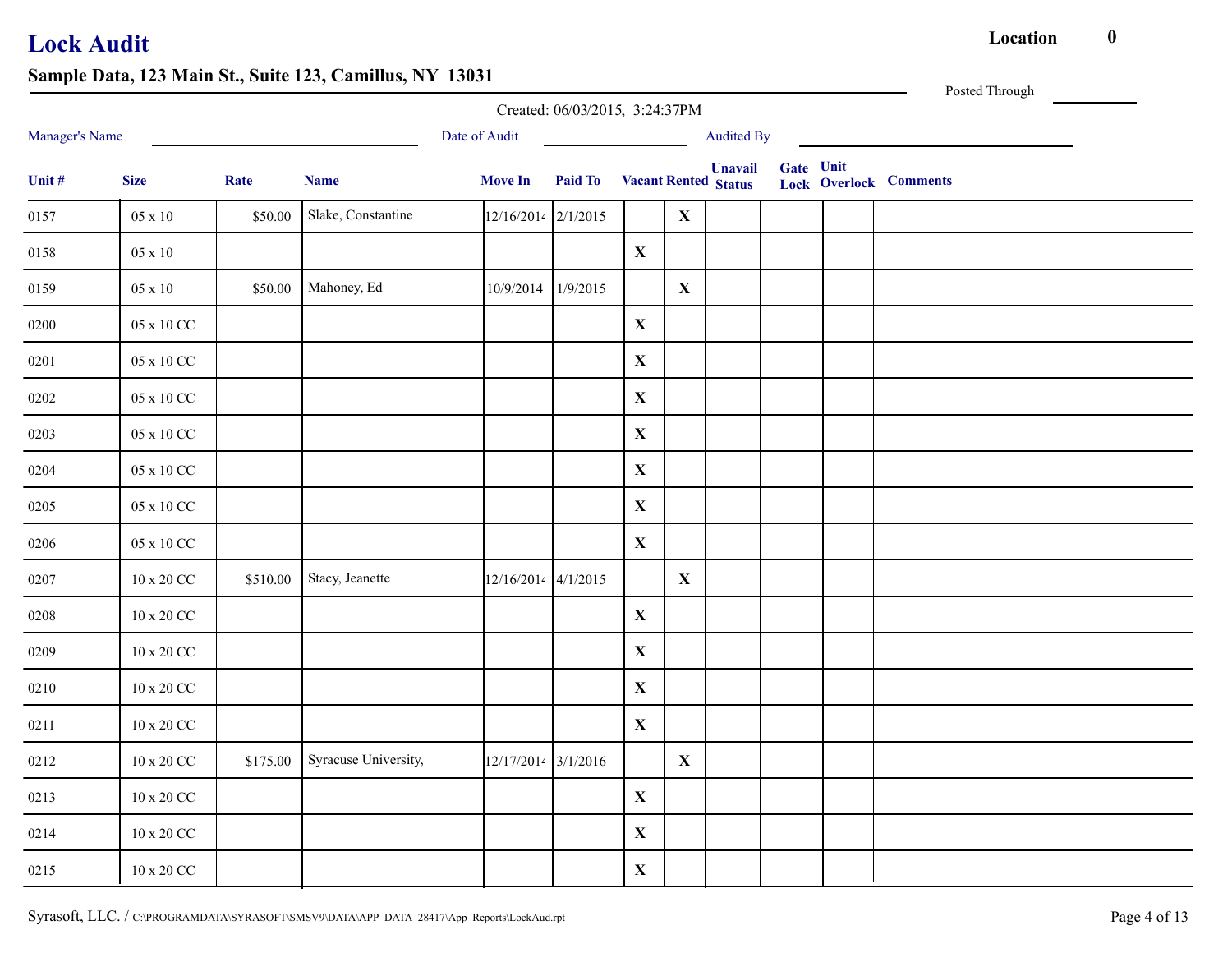Posted Through

|                |                     |          |                      |                     | Created: 06/03/2015, 3:24:37PM      |             |              |                   |           |                               |  |
|----------------|---------------------|----------|----------------------|---------------------|-------------------------------------|-------------|--------------|-------------------|-----------|-------------------------------|--|
| Manager's Name |                     |          |                      | Date of Audit       |                                     |             |              | <b>Audited By</b> |           |                               |  |
| Unit #         | <b>Size</b>         | Rate     | <b>Name</b>          | <b>Move In</b>      | <b>Paid To</b> Vacant Rented Status |             |              | <b>Unavail</b>    | Gate Unit | <b>Lock Overlock Comments</b> |  |
| 0157           | $05 \ge 10$         | \$50.00  | Slake, Constantine   | 12/16/2014 2/1/2015 |                                     |             | $\mathbf X$  |                   |           |                               |  |
| 0158           | $05 \ge 10$         |          |                      |                     |                                     | $\mathbf X$ |              |                   |           |                               |  |
| 0159           | $05 \ge 10$         | \$50.00  | Mahoney, Ed          | 10/9/2014           | 1/9/2015                            |             | $\mathbf X$  |                   |           |                               |  |
| 0200           | 05 x 10 CC          |          |                      |                     |                                     | $\mathbf X$ |              |                   |           |                               |  |
| 0201           | 05 x 10 CC          |          |                      |                     |                                     | $\mathbf X$ |              |                   |           |                               |  |
| 0202           | 05 x 10 CC          |          |                      |                     |                                     | $\mathbf X$ |              |                   |           |                               |  |
| 0203           | 05 x 10 CC          |          |                      |                     |                                     | $\mathbf X$ |              |                   |           |                               |  |
| 0204           | 05 x 10 CC          |          |                      |                     |                                     | $\mathbf X$ |              |                   |           |                               |  |
| 0205           | 05 x 10 CC          |          |                      |                     |                                     | $\mathbf X$ |              |                   |           |                               |  |
| 0206           | 05 x 10 CC          |          |                      |                     |                                     | $\mathbf X$ |              |                   |           |                               |  |
| 0207           | 10 x 20 CC          | \$510.00 | Stacy, Jeanette      | 12/16/2014 4/1/2015 |                                     |             | $\mathbf{X}$ |                   |           |                               |  |
| 0208           | $10 \times 20$ CC   |          |                      |                     |                                     | $\mathbf X$ |              |                   |           |                               |  |
| 0209           | 10 x 20 CC          |          |                      |                     |                                     | $\mathbf X$ |              |                   |           |                               |  |
| 0210           | $10 \ge 20$ CC $\,$ |          |                      |                     |                                     | $\mathbf X$ |              |                   |           |                               |  |
| 0211           | $10$ x $20$ CC $\,$ |          |                      |                     |                                     | $\mathbf X$ |              |                   |           |                               |  |
| 0212           | 10 x 20 CC          | \$175.00 | Syracuse University, | 12/17/2014 3/1/2016 |                                     |             | $\mathbf{X}$ |                   |           |                               |  |
| 0213           | 10 x 20 CC          |          |                      |                     |                                     | $\mathbf X$ |              |                   |           |                               |  |
| 0214           | $10$ x $20$ CC $\,$ |          |                      |                     |                                     | $\mathbf X$ |              |                   |           |                               |  |
| 0215           | 10 x 20 CC          |          |                      |                     |                                     | $\mathbf X$ |              |                   |           |                               |  |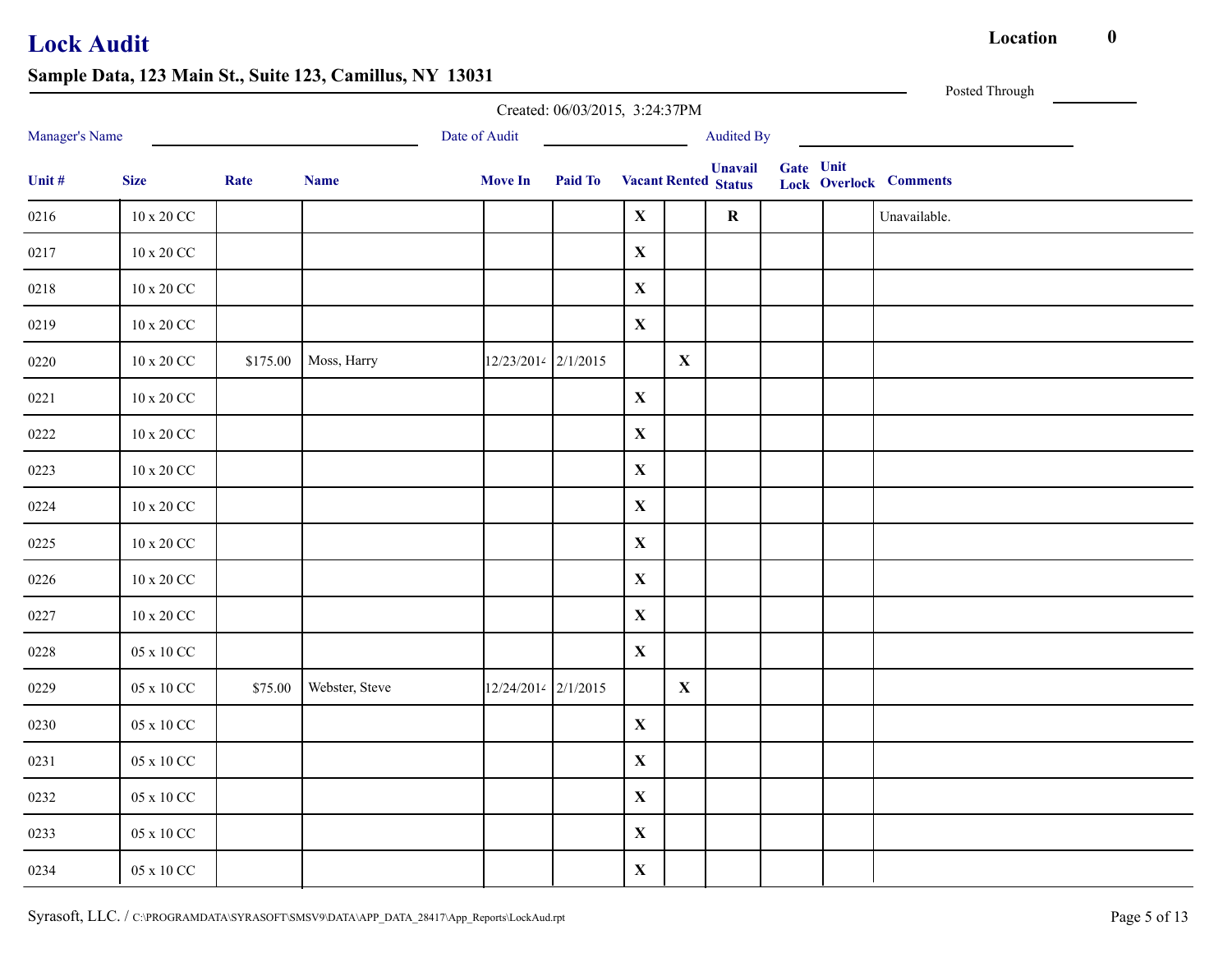|                |                          |          |                |                     | Created: 06/03/2015, 3:24:37PM      |             |             |                   |           | Posted Through                |  |
|----------------|--------------------------|----------|----------------|---------------------|-------------------------------------|-------------|-------------|-------------------|-----------|-------------------------------|--|
| Manager's Name |                          |          |                | Date of Audit       |                                     |             |             | <b>Audited By</b> |           |                               |  |
| Unit #         | <b>Size</b>              | Rate     | <b>Name</b>    | <b>Move In</b>      | <b>Paid To</b> Vacant Rented Status |             |             | <b>Unavail</b>    | Gate Unit | <b>Lock Overlock Comments</b> |  |
| 0216           | $10$ x $20$ CC $\,$      |          |                |                     |                                     | $\mathbf X$ |             | $\mathbf R$       |           | Unavailable.                  |  |
| 0217           | $10$ x $20$ CC $\,$      |          |                |                     |                                     | $\mathbf X$ |             |                   |           |                               |  |
| 0218           | $10 \times 20$ CC        |          |                |                     |                                     | $\mathbf X$ |             |                   |           |                               |  |
| 0219           | $10$ x $20$ CC $\,$      |          |                |                     |                                     | $\mathbf X$ |             |                   |           |                               |  |
| 0220           | $10$ x $20$ CC $\,$      | \$175.00 | Moss, Harry    | 12/23/2014 2/1/2015 |                                     |             | $\mathbf X$ |                   |           |                               |  |
| 0221           | $10$ x $20$ CC $\,$      |          |                |                     |                                     | $\mathbf X$ |             |                   |           |                               |  |
| 0222           | $10$ x $20$ CC $\,$      |          |                |                     |                                     | $\mathbf X$ |             |                   |           |                               |  |
| 0223           | $10 \ge 20$ CC $\,$      |          |                |                     |                                     | $\mathbf X$ |             |                   |           |                               |  |
| 0224           | $10 \ge 20$ CC $\,$      |          |                |                     |                                     | $\mathbf X$ |             |                   |           |                               |  |
| 0225           | $10$ x $20$ CC $\,$      |          |                |                     |                                     | $\mathbf X$ |             |                   |           |                               |  |
| 0226           | $10$ x $20$ CC $\,$      |          |                |                     |                                     | $\mathbf X$ |             |                   |           |                               |  |
| 0227           | $10$ x $20$ CC $\,$      |          |                |                     |                                     | $\mathbf X$ |             |                   |           |                               |  |
| 0228           | $05$ x $10\,\mathrm{CC}$ |          |                |                     |                                     | $\mathbf X$ |             |                   |           |                               |  |
| 0229           | 05 x 10 CC               | \$75.00  | Webster, Steve | 12/24/2014 2/1/2015 |                                     |             | $\mathbf X$ |                   |           |                               |  |
| 0230           | 05 x 10 CC               |          |                |                     |                                     | $\mathbf X$ |             |                   |           |                               |  |
| 0231           | $05$ x $10$ CC $\,$      |          |                |                     |                                     | $\mathbf X$ |             |                   |           |                               |  |
| 0232           | 05 x 10 CC               |          |                |                     |                                     | $\mathbf X$ |             |                   |           |                               |  |
| 0233           | 05 x 10 CC               |          |                |                     |                                     | $\mathbf X$ |             |                   |           |                               |  |
| 0234           | $05$ x $10$ CC $\,$      |          |                |                     |                                     | $\mathbf X$ |             |                   |           |                               |  |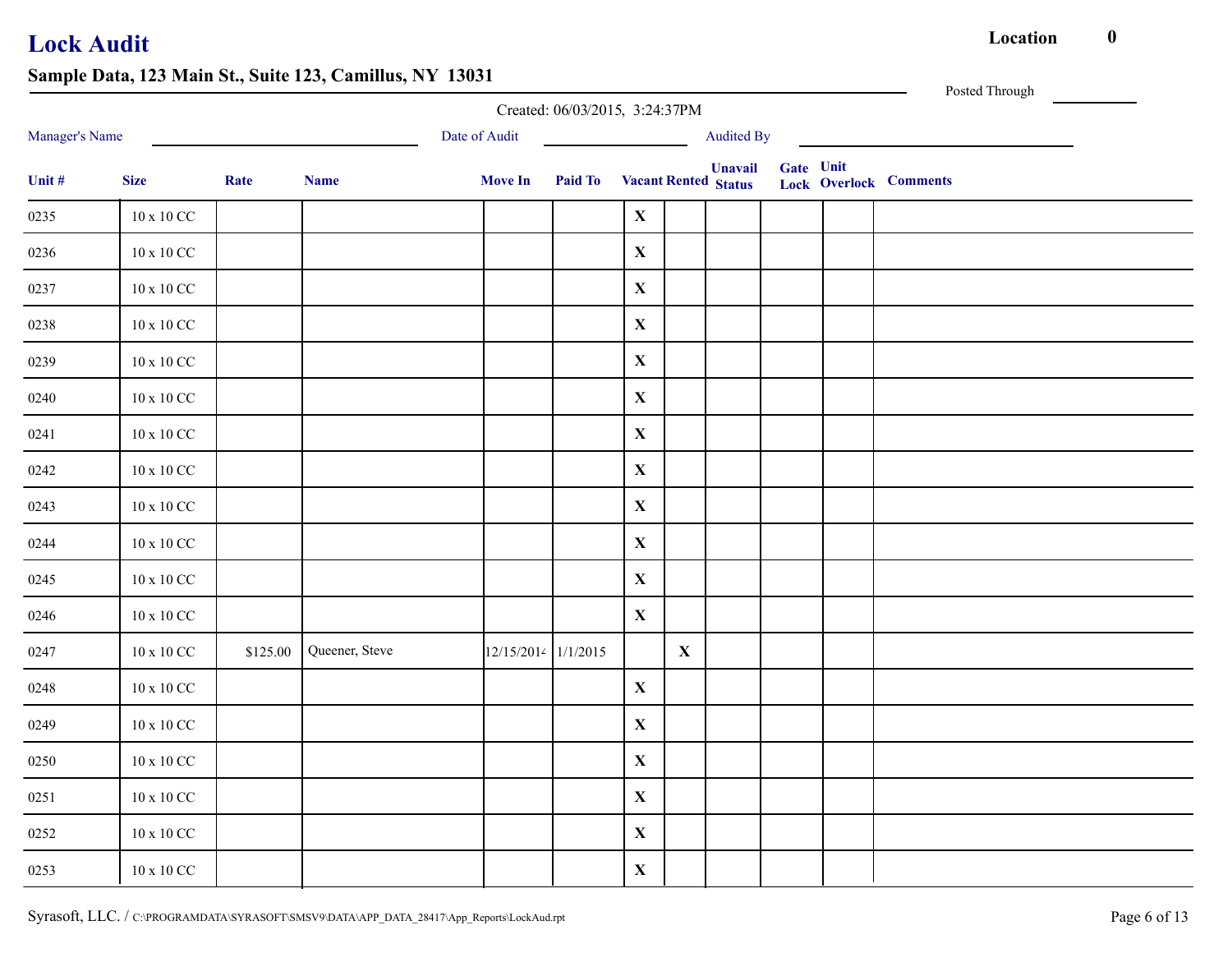|                |                     |          | $\sum_{i=1}^{n}$ $\sum_{i=1}^{n}$ $\sum_{i=1}^{n}$ $\sum_{i=1}^{n}$ $\sum_{i=1}^{n}$ $\sum_{i=1}^{n}$ $\sum_{i=1}^{n}$ $\sum_{i=1}^{n}$ $\sum_{i=1}^{n}$ |                     | Created: 06/03/2015, 3:24:37PM      |              |              |                   |           | Posted Through                |
|----------------|---------------------|----------|----------------------------------------------------------------------------------------------------------------------------------------------------------|---------------------|-------------------------------------|--------------|--------------|-------------------|-----------|-------------------------------|
| Manager's Name |                     |          | <u> 1989 - Johann Barbara, martin a</u>                                                                                                                  | Date of Audit       |                                     |              |              | <b>Audited By</b> |           |                               |
| Unit #         | <b>Size</b>         | Rate     | <b>Name</b>                                                                                                                                              | <b>Move In</b>      | <b>Paid To</b> Vacant Rented Status |              |              | <b>Unavail</b>    | Gate Unit | <b>Lock Overlock Comments</b> |
| 0235           | $10 \ge 10$ CC      |          |                                                                                                                                                          |                     |                                     | $\mathbf{X}$ |              |                   |           |                               |
| 0236           | $10$ x $10$ CC $\,$ |          |                                                                                                                                                          |                     |                                     | $\mathbf X$  |              |                   |           |                               |
| 0237           | $10$ x $10$ CC $\,$ |          |                                                                                                                                                          |                     |                                     | $\mathbf{X}$ |              |                   |           |                               |
| 0238           | $10$ x $10$ CC $\,$ |          |                                                                                                                                                          |                     |                                     | $\mathbf X$  |              |                   |           |                               |
| 0239           | 10 x 10 CC          |          |                                                                                                                                                          |                     |                                     | $\mathbf{X}$ |              |                   |           |                               |
| 0240           | $10$ x $10$ CC $\,$ |          |                                                                                                                                                          |                     |                                     | $\mathbf X$  |              |                   |           |                               |
| 0241           | $10$ x $10$ CC $\,$ |          |                                                                                                                                                          |                     |                                     | $\mathbf X$  |              |                   |           |                               |
| 0242           | $10$ x $10$ CC $\,$ |          |                                                                                                                                                          |                     |                                     | $\mathbf X$  |              |                   |           |                               |
| 0243           | $10$ x $10$ CC $\,$ |          |                                                                                                                                                          |                     |                                     | $\mathbf X$  |              |                   |           |                               |
| 0244           | $10 \ge 10$ CC      |          |                                                                                                                                                          |                     |                                     | $\mathbf X$  |              |                   |           |                               |
| 0245           | $10$ x $10$ CC $\,$ |          |                                                                                                                                                          |                     |                                     | $\mathbf X$  |              |                   |           |                               |
| 0246           | $10 \ge 10$ CC      |          |                                                                                                                                                          |                     |                                     | $\mathbf X$  |              |                   |           |                               |
| 0247           | $10$ x $10$ CC $\,$ | \$125.00 | Queener, Steve                                                                                                                                           | 12/15/2014 1/1/2015 |                                     |              | $\mathbf{X}$ |                   |           |                               |
| 0248           | $10$ x $10$ CC $\,$ |          |                                                                                                                                                          |                     |                                     | $\mathbf X$  |              |                   |           |                               |
| 0249           | $10$ x $10$ CC $\,$ |          |                                                                                                                                                          |                     |                                     | $\mathbf X$  |              |                   |           |                               |
| 0250           | $10$ x $10$ CC $\,$ |          |                                                                                                                                                          |                     |                                     | $\mathbf X$  |              |                   |           |                               |
| 0251           | $10$ x $10$ CC $\,$ |          |                                                                                                                                                          |                     |                                     | $\mathbf X$  |              |                   |           |                               |
| 0252           | $10 \ge 10$ CC      |          |                                                                                                                                                          |                     |                                     | $\mathbf X$  |              |                   |           |                               |
| 0253           | $10$ x $10$ CC $\,$ |          |                                                                                                                                                          |                     |                                     | $\mathbf X$  |              |                   |           |                               |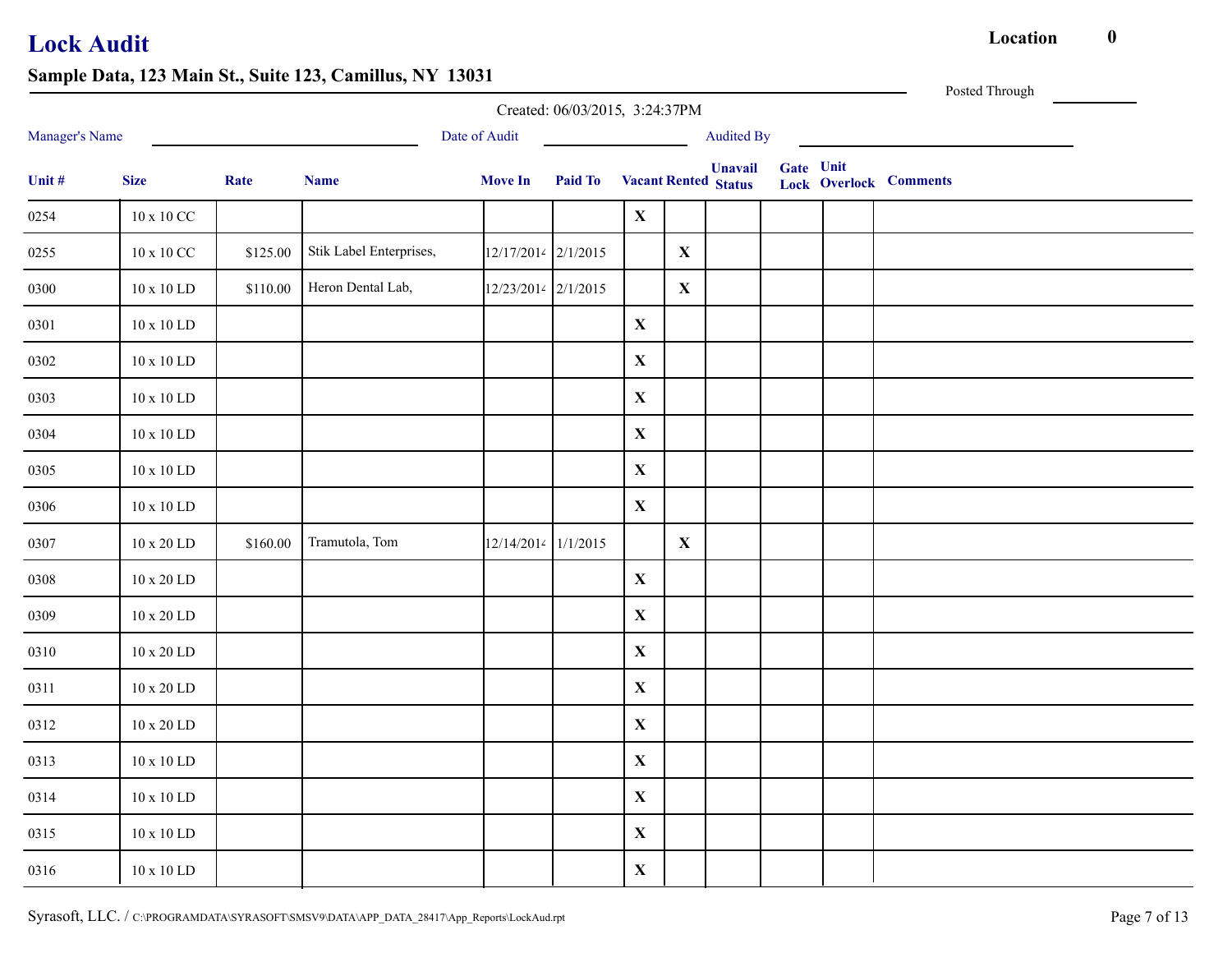Posted Through

|                |                |          |                         |                     | Created: 06/03/2015, 3:24:37PM |             |              |                                               |           |                               |
|----------------|----------------|----------|-------------------------|---------------------|--------------------------------|-------------|--------------|-----------------------------------------------|-----------|-------------------------------|
| Manager's Name |                |          |                         | Date of Audit       |                                |             |              | Audited By                                    |           |                               |
| Unit #         | <b>Size</b>    | Rate     | <b>Name</b>             | <b>Move In</b>      | Paid To                        |             |              | <b>Unavail</b><br><b>Vacant Rented Status</b> | Gate Unit | <b>Lock Overlock Comments</b> |
| 0254           | 10 x 10 CC     |          |                         |                     |                                | $\mathbf X$ |              |                                               |           |                               |
| 0255           | 10 x 10 CC     | \$125.00 | Stik Label Enterprises, | 12/17/2014 2/1/2015 |                                |             | $\mathbf{X}$ |                                               |           |                               |
| 0300           | 10 x 10 LD     | \$110.00 | Heron Dental Lab,       | 12/23/2014 2/1/2015 |                                |             | $\mathbf{X}$ |                                               |           |                               |
| 0301           | 10 x 10 LD     |          |                         |                     |                                | $\mathbf X$ |              |                                               |           |                               |
| 0302           | 10 x 10 LD     |          |                         |                     |                                | $\mathbf X$ |              |                                               |           |                               |
| 0303           | 10 x 10 LD     |          |                         |                     |                                | $\mathbf X$ |              |                                               |           |                               |
| 0304           | $10 \ge 10$ LD |          |                         |                     |                                | $\mathbf X$ |              |                                               |           |                               |
| 0305           | 10 x 10 LD     |          |                         |                     |                                | $\mathbf X$ |              |                                               |           |                               |
| 0306           | $10 \ge 10$ LD |          |                         |                     |                                | $\mathbf X$ |              |                                               |           |                               |
| 0307           | 10 x 20 LD     | \$160.00 | Tramutola, Tom          | 12/14/2014 1/1/2015 |                                |             | $\mathbf{X}$ |                                               |           |                               |
| 0308           | 10 x 20 LD     |          |                         |                     |                                | $\mathbf X$ |              |                                               |           |                               |
| 0309           | 10 x 20 LD     |          |                         |                     |                                | $\mathbf X$ |              |                                               |           |                               |
| 0310           | 10 x 20 LD     |          |                         |                     |                                | $\mathbf X$ |              |                                               |           |                               |
| 0311           | 10 x 20 LD     |          |                         |                     |                                | $\mathbf X$ |              |                                               |           |                               |
| 0312           | 10 x 20 LD     |          |                         |                     |                                | $\mathbf X$ |              |                                               |           |                               |
| 0313           | 10 x 10 LD     |          |                         |                     |                                | $\mathbf X$ |              |                                               |           |                               |
| 0314           | 10 x 10 LD     |          |                         |                     |                                | $\mathbf X$ |              |                                               |           |                               |
| 0315           | $10 \ge 10$ LD |          |                         |                     |                                | $\mathbf X$ |              |                                               |           |                               |
| 0316           | 10 x 10 LD     |          |                         |                     |                                | $\mathbf X$ |              |                                               |           |                               |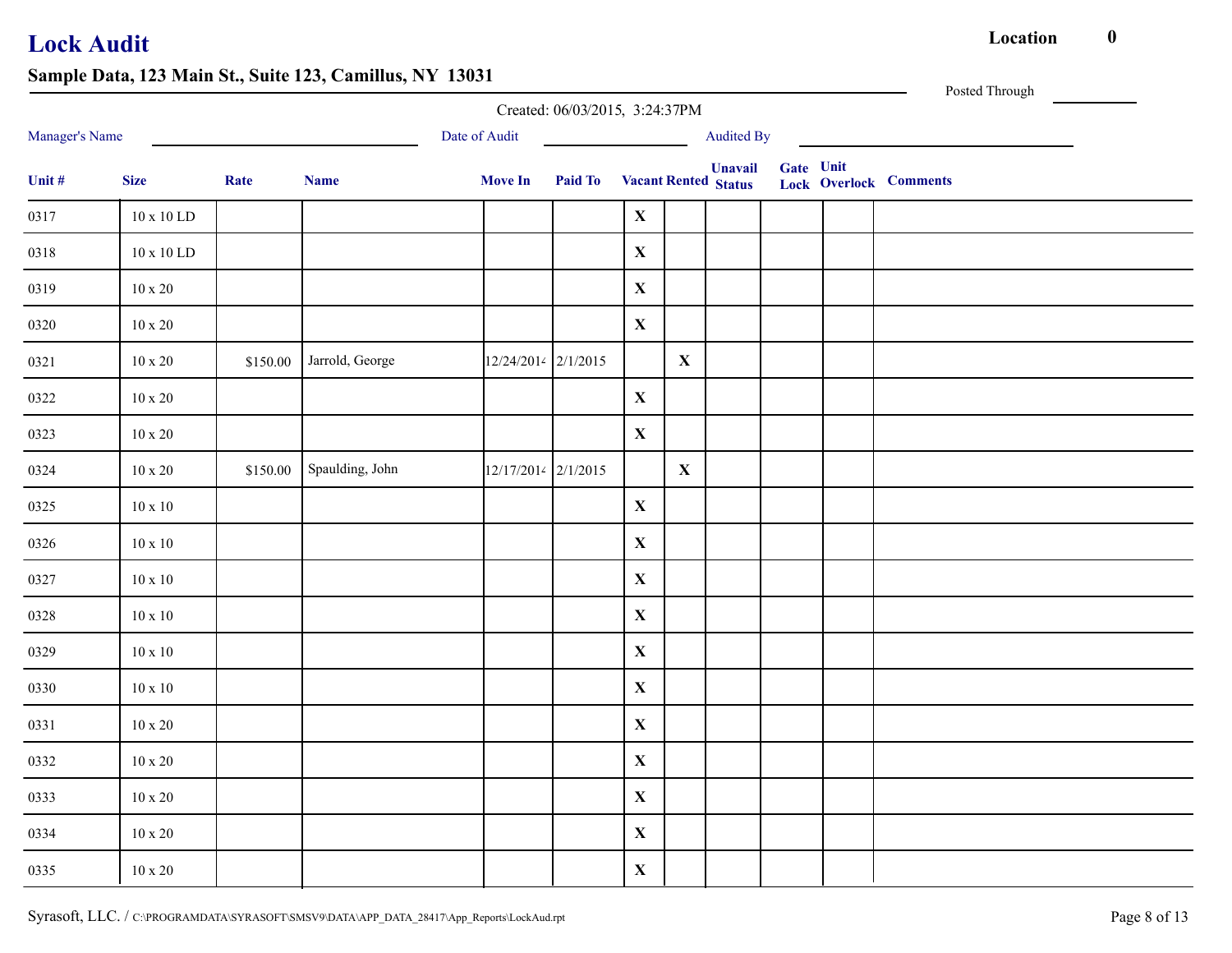|                | $\cdots$ , $\cdots$ | $\cdots$ , $\cdots$ | $\sim$ $\sim$   |                     | Created: 06/03/2015, 3:24:37PM      |              |              |                |           | Posted Through                |
|----------------|---------------------|---------------------|-----------------|---------------------|-------------------------------------|--------------|--------------|----------------|-----------|-------------------------------|
| Manager's Name |                     |                     |                 | Date of Audit       | <u> 1990 - Johann Barbara, mart</u> |              |              | Audited By     |           |                               |
| Unit $\#$      | <b>Size</b>         | Rate                | <b>Name</b>     | <b>Move In</b>      | <b>Paid To</b> Vacant Rented Status |              |              | <b>Unavail</b> | Gate Unit | <b>Lock Overlock Comments</b> |
| 0317           | $10 \ge 10$ LD      |                     |                 |                     |                                     | $\mathbf{X}$ |              |                |           |                               |
| 0318           | $10 \ge 10$ LD      |                     |                 |                     |                                     | $\mathbf X$  |              |                |           |                               |
| 0319           | $10 \ge 20$         |                     |                 |                     |                                     | $\mathbf X$  |              |                |           |                               |
| 0320           | $10 \ge 20$         |                     |                 |                     |                                     | $\mathbf X$  |              |                |           |                               |
| 0321           | $10 \ge 20$         | \$150.00            | Jarrold, George | 12/24/2014 2/1/2015 |                                     |              | $\mathbf{X}$ |                |           |                               |
| 0322           | $10 \ge 20$         |                     |                 |                     |                                     | $\mathbf X$  |              |                |           |                               |
| 0323           | $10 \times 20$      |                     |                 |                     |                                     | $\mathbf X$  |              |                |           |                               |
| 0324           | $10 \ge 20$         | \$150.00            | Spaulding, John | 12/17/2014 2/1/2015 |                                     |              | $\mathbf{X}$ |                |           |                               |
| 0325           | $10 \ge 10$         |                     |                 |                     |                                     | $\mathbf X$  |              |                |           |                               |
| 0326           | $10 \ge 10$         |                     |                 |                     |                                     | $\mathbf X$  |              |                |           |                               |
| 0327           | $10 \ge 10$         |                     |                 |                     |                                     | $\mathbf X$  |              |                |           |                               |
| 0328           | $10\ge10$           |                     |                 |                     |                                     | $\mathbf X$  |              |                |           |                               |
| 0329           | $10 \ge 10$         |                     |                 |                     |                                     | $\mathbf X$  |              |                |           |                               |
| 0330           | $10 \ge 10$         |                     |                 |                     |                                     | $\mathbf X$  |              |                |           |                               |
| 0331           | $10 \ge 20$         |                     |                 |                     |                                     | $\mathbf X$  |              |                |           |                               |
| 0332           | $10 \ge 20$         |                     |                 |                     |                                     | $\mathbf{X}$ |              |                |           |                               |
| 0333           | $10 \ge 20$         |                     |                 |                     |                                     | $\mathbf X$  |              |                |           |                               |
| 0334           | $10 \ge 20$         |                     |                 |                     |                                     | $\mathbf X$  |              |                |           |                               |
| 0335           | $10 \ge 20$         |                     |                 |                     |                                     | $\mathbf X$  |              |                |           |                               |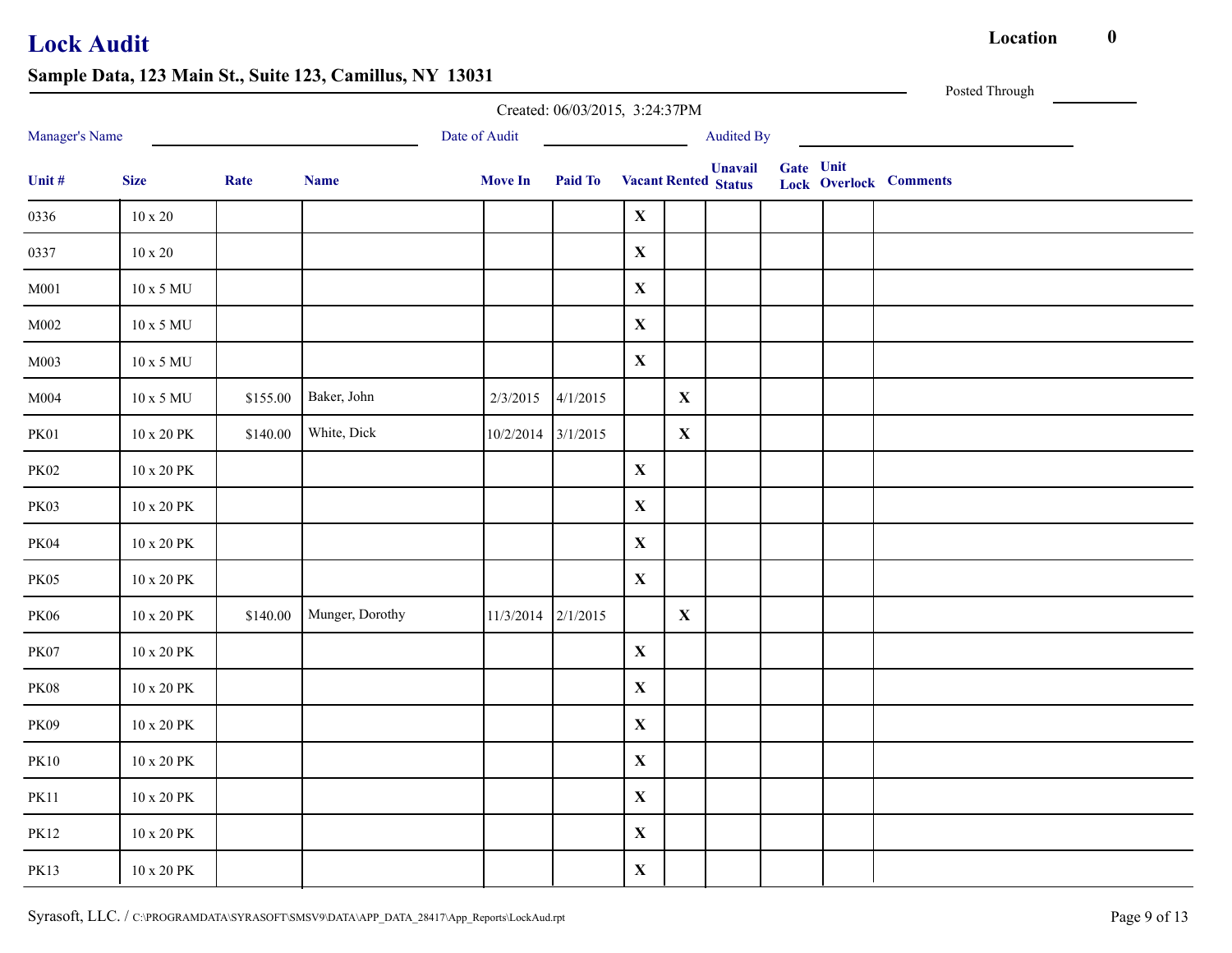|                 |                      |          |                 |                    | Created: 06/03/2015, 3:24:37PM |             |             |                                               |           | Posted Through                |
|-----------------|----------------------|----------|-----------------|--------------------|--------------------------------|-------------|-------------|-----------------------------------------------|-----------|-------------------------------|
| Manager's Name  |                      |          |                 | Date of Audit      |                                |             |             | <b>Audited By</b>                             |           |                               |
| Unit #          | <b>Size</b>          | Rate     | <b>Name</b>     | <b>Move In</b>     | Paid To                        |             |             | <b>Unavail</b><br><b>Vacant Rented Status</b> | Gate Unit | <b>Lock Overlock Comments</b> |
| 0336            | $10 \ge 20$          |          |                 |                    |                                | $\mathbf X$ |             |                                               |           |                               |
| 0337            | $10\ge 20$           |          |                 |                    |                                | $\mathbf X$ |             |                                               |           |                               |
| $\mathbf{M}001$ | 10 x 5 MU            |          |                 |                    |                                | $\mathbf X$ |             |                                               |           |                               |
| M002            | $10$ x 5 MU          |          |                 |                    |                                | $\mathbf X$ |             |                                               |           |                               |
| $\rm M003$      | 10 x 5 MU            |          |                 |                    |                                | $\mathbf X$ |             |                                               |           |                               |
| M004            | 10 x 5 MU            | \$155.00 | Baker, John     |                    | $2/3/2015$ 4/1/2015            |             | $\mathbf X$ |                                               |           |                               |
| <b>PK01</b>     | $10$ x $20$ $\rm PK$ | \$140.00 | White, Dick     | 10/2/2014 3/1/2015 |                                |             | $\mathbf X$ |                                               |           |                               |
| <b>PK02</b>     | $10$ x $20$ $\rm PK$ |          |                 |                    |                                | $\mathbf X$ |             |                                               |           |                               |
| <b>PK03</b>     | $10$ x $20$ $\rm PK$ |          |                 |                    |                                | $\mathbf X$ |             |                                               |           |                               |
| PK04            | $10$ x $20$ $\rm PK$ |          |                 |                    |                                | $\mathbf X$ |             |                                               |           |                               |
| PK05            | $10$ x $20$ $\rm PK$ |          |                 |                    |                                | $\mathbf X$ |             |                                               |           |                               |
| <b>PK06</b>     | $10$ x $20$ $\rm PK$ | \$140.00 | Munger, Dorothy | 11/3/2014 2/1/2015 |                                |             | $\mathbf X$ |                                               |           |                               |
| PK07            | $10$ x $20$ $\rm PK$ |          |                 |                    |                                | $\mathbf X$ |             |                                               |           |                               |
| $\rm PK08$      | $10$ x $20$ $\rm PK$ |          |                 |                    |                                | $\mathbf X$ |             |                                               |           |                               |
| PK09            | $10$ x $20$ $\rm PK$ |          |                 |                    |                                | $\mathbf X$ |             |                                               |           |                               |
| $\rm PK10$      | 10 x 20 PK           |          |                 |                    |                                | $\mathbf X$ |             |                                               |           |                               |
| <b>PK11</b>     | $10$ x $20$ $\rm PK$ |          |                 |                    |                                | $\mathbf X$ |             |                                               |           |                               |
| <b>PK12</b>     | $10$ x $20$ $\rm PK$ |          |                 |                    |                                | $\mathbf X$ |             |                                               |           |                               |
| <b>PK13</b>     | $10$ x $20$ $\rm PK$ |          |                 |                    |                                | $\mathbf X$ |             |                                               |           |                               |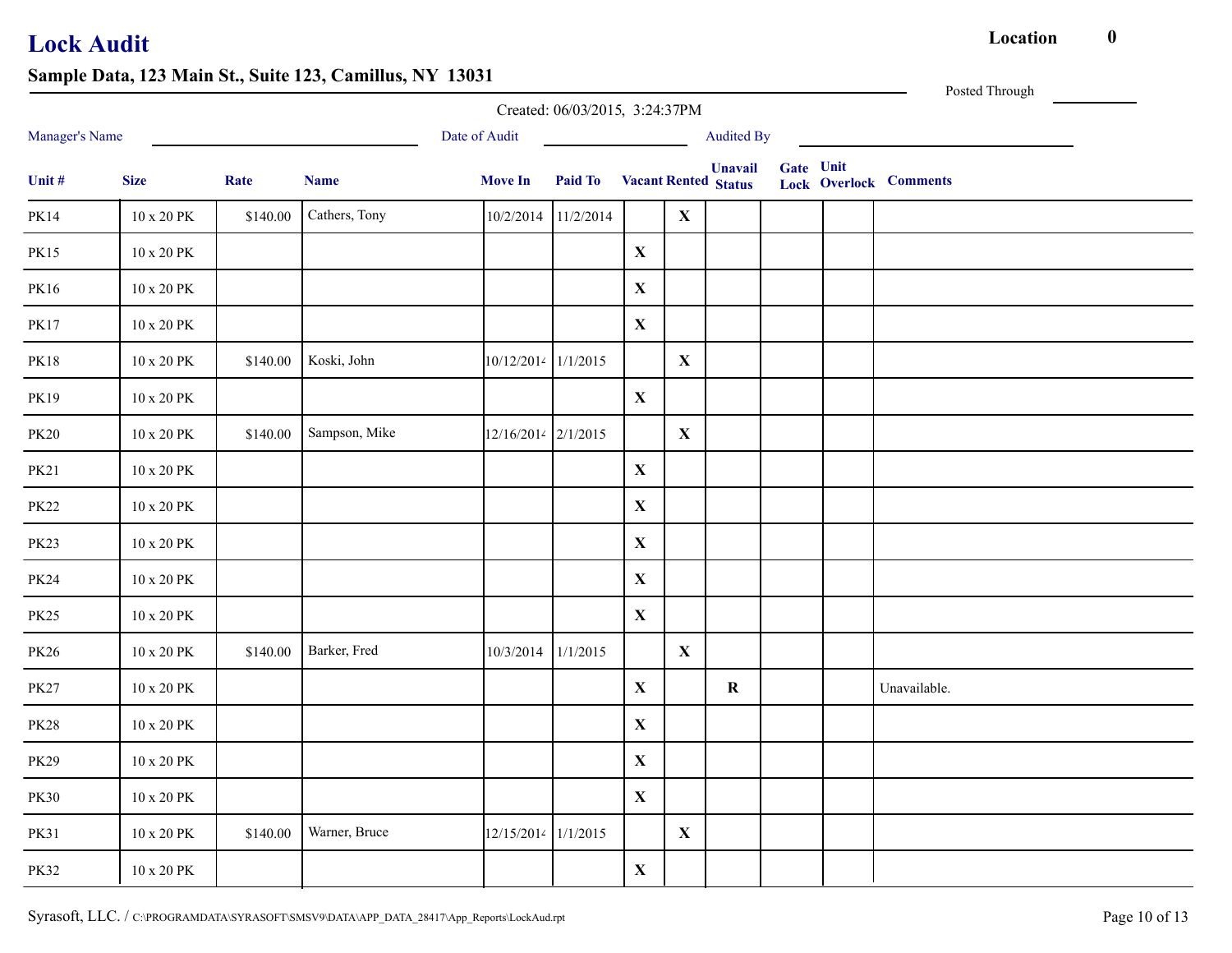Posted Through

|                |                      |          |               |                     | Created: 06/03/2015, 3:24:37PM |             |              |                                               |           |                               |
|----------------|----------------------|----------|---------------|---------------------|--------------------------------|-------------|--------------|-----------------------------------------------|-----------|-------------------------------|
| Manager's Name |                      |          |               | Date of Audit       |                                |             |              | <b>Audited By</b>                             |           |                               |
| Unit #         | <b>Size</b>          | Rate     | <b>Name</b>   | <b>Move In</b>      | <b>Paid To</b>                 |             |              | <b>Unavail</b><br><b>Vacant Rented Status</b> | Gate Unit | <b>Lock Overlock Comments</b> |
| <b>PK14</b>    | 10 x 20 PK           | \$140.00 | Cathers, Tony | 10/2/2014           | 11/2/2014                      |             | $\mathbf X$  |                                               |           |                               |
| <b>PK15</b>    | 10 x 20 PK           |          |               |                     |                                | $\mathbf X$ |              |                                               |           |                               |
| PK16           | 10 x 20 PK           |          |               |                     |                                | $\mathbf X$ |              |                                               |           |                               |
| <b>PK17</b>    | 10 x 20 PK           |          |               |                     |                                | $\mathbf X$ |              |                                               |           |                               |
| <b>PK18</b>    | 10 x 20 PK           | \$140.00 | Koski, John   | 10/12/2014 1/1/2015 |                                |             | $\mathbf{X}$ |                                               |           |                               |
| <b>PK19</b>    | 10 x 20 PK           |          |               |                     |                                | $\mathbf X$ |              |                                               |           |                               |
| <b>PK20</b>    | 10 x 20 PK           | \$140.00 | Sampson, Mike | 12/16/2014 2/1/2015 |                                |             | $\mathbf X$  |                                               |           |                               |
| <b>PK21</b>    | 10 x 20 PK           |          |               |                     |                                | $\mathbf X$ |              |                                               |           |                               |
| <b>PK22</b>    | $10$ x $20$ $\rm PK$ |          |               |                     |                                | $\mathbf X$ |              |                                               |           |                               |
| <b>PK23</b>    | $10$ x $20$ $\rm PK$ |          |               |                     |                                | $\mathbf X$ |              |                                               |           |                               |
| <b>PK24</b>    | 10 x 20 PK           |          |               |                     |                                | $\mathbf X$ |              |                                               |           |                               |
| <b>PK25</b>    | 10 x 20 PK           |          |               |                     |                                | $\mathbf X$ |              |                                               |           |                               |
| <b>PK26</b>    | 10 x 20 PK           | \$140.00 | Barker, Fred  | 10/3/2014           | 1/1/2015                       |             | $\mathbf{X}$ |                                               |           |                               |
| <b>PK27</b>    | $10$ x $20$ $\rm PK$ |          |               |                     |                                | $\mathbf X$ |              | $\mathbf R$                                   |           | Unavailable.                  |
| <b>PK28</b>    | 10 x 20 PK           |          |               |                     |                                | $\mathbf X$ |              |                                               |           |                               |
| <b>PK29</b>    | 10 x 20 PK           |          |               |                     |                                | $\mathbf X$ |              |                                               |           |                               |
| <b>PK30</b>    | 10 x 20 PK           |          |               |                     |                                | $\mathbf X$ |              |                                               |           |                               |
| <b>PK31</b>    | 10 x 20 PK           | \$140.00 | Warner, Bruce | 12/15/2014 1/1/2015 |                                |             | $\mathbf X$  |                                               |           |                               |
| <b>PK32</b>    | 10 x 20 PK           |          |               |                     |                                | $\mathbf X$ |              |                                               |           |                               |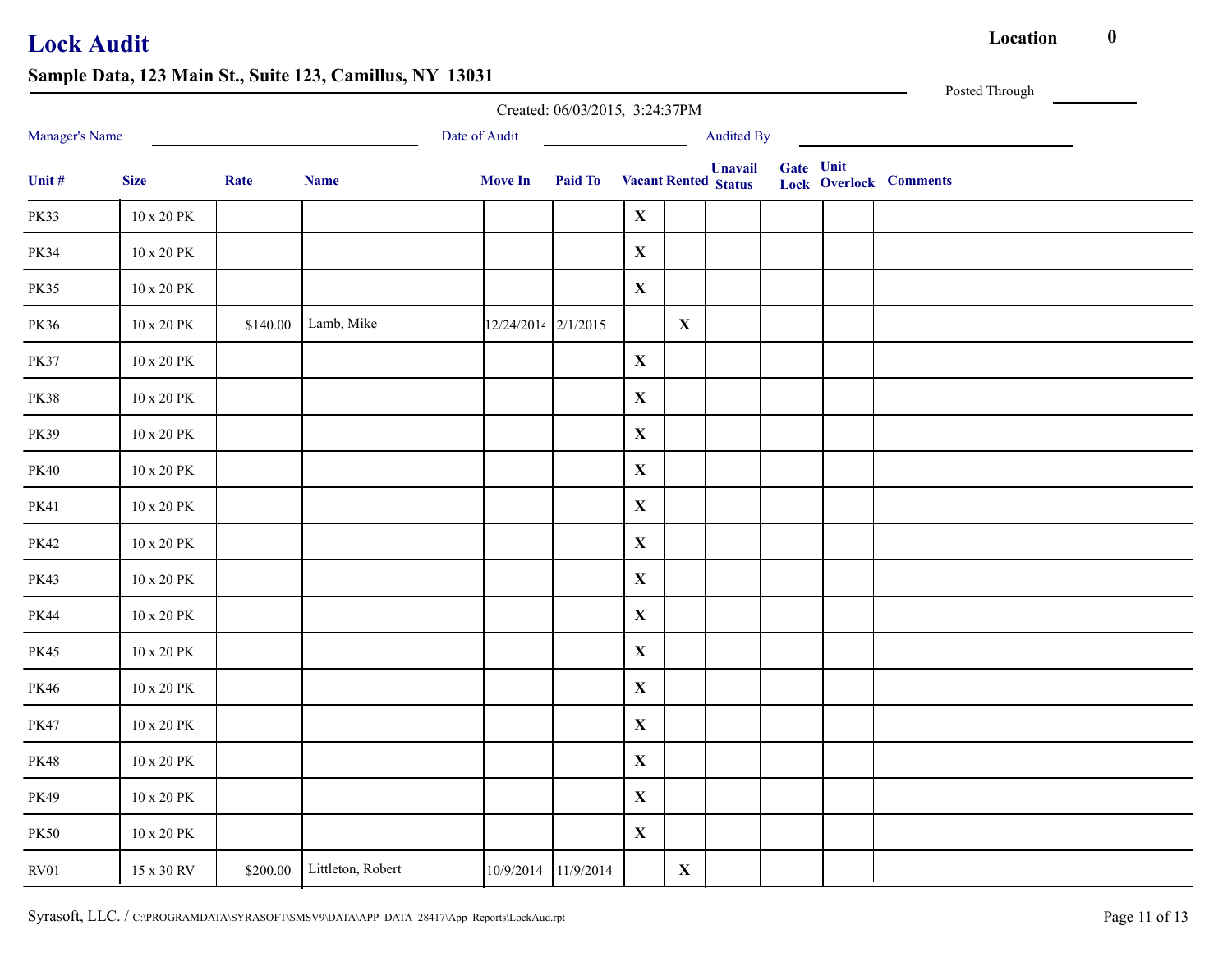|                |                      |          |                            |                     | Created: 06/03/2015, 3:24:37PM      |             |              |                   |           | Posted Through                |
|----------------|----------------------|----------|----------------------------|---------------------|-------------------------------------|-------------|--------------|-------------------|-----------|-------------------------------|
| Manager's Name |                      |          |                            | Date of Audit       |                                     |             |              | <b>Audited By</b> |           |                               |
| Unit $\#$      | <b>Size</b>          | Rate     | <b>Name</b>                | <b>Move In</b>      | <b>Paid To</b> Vacant Rented Status |             |              | <b>Unavail</b>    | Gate Unit | <b>Lock Overlock Comments</b> |
| <b>PK33</b>    | 10 x 20 PK           |          |                            |                     |                                     | $\mathbf X$ |              |                   |           |                               |
| <b>PK34</b>    | $10$ x $20$ $\rm PK$ |          |                            |                     |                                     | $\mathbf X$ |              |                   |           |                               |
| <b>PK35</b>    | $10$ x $20$ $\rm PK$ |          |                            |                     |                                     | $\mathbf X$ |              |                   |           |                               |
| PK36           | $10$ x $20$ $\rm PK$ | \$140.00 | Lamb, Mike                 | 12/24/2014 2/1/2015 |                                     |             | $\mathbf{X}$ |                   |           |                               |
| <b>PK37</b>    | 10 x 20 PK           |          |                            |                     |                                     | $\mathbf X$ |              |                   |           |                               |
| <b>PK38</b>    | $10$ x $20$ $\rm PK$ |          |                            |                     |                                     | $\mathbf X$ |              |                   |           |                               |
| PK39           | $10$ x $20$ $\rm PK$ |          |                            |                     |                                     | $\mathbf X$ |              |                   |           |                               |
| <b>PK40</b>    | $10$ x $20$ $\rm PK$ |          |                            |                     |                                     | $\mathbf X$ |              |                   |           |                               |
| <b>PK41</b>    | $10$ x $20$ $\rm PK$ |          |                            |                     |                                     | $\mathbf X$ |              |                   |           |                               |
| <b>PK42</b>    | $10$ x $20$ $\rm PK$ |          |                            |                     |                                     | $\mathbf X$ |              |                   |           |                               |
| PK43           | 10 x 20 PK           |          |                            |                     |                                     | $\mathbf X$ |              |                   |           |                               |
| <b>PK44</b>    | $10$ x $20$ $\rm PK$ |          |                            |                     |                                     | $\mathbf X$ |              |                   |           |                               |
| <b>PK45</b>    | $10$ x $20$ $\rm PK$ |          |                            |                     |                                     | $\mathbf X$ |              |                   |           |                               |
| PK46           | $10$ x $20$ $\rm PK$ |          |                            |                     |                                     | $\mathbf X$ |              |                   |           |                               |
| <b>PK47</b>    | $10$ x $20$ $\rm PK$ |          |                            |                     |                                     | $\mathbf X$ |              |                   |           |                               |
| <b>PK48</b>    | $10$ x $20$ $\rm PK$ |          |                            |                     |                                     | $\mathbf X$ |              |                   |           |                               |
| PK49           | $10$ x $20$ $\rm PK$ |          |                            |                     |                                     | $\mathbf X$ |              |                   |           |                               |
| <b>PK50</b>    | $10$ x $20$ $\rm PK$ |          |                            |                     |                                     | $\mathbf X$ |              |                   |           |                               |
| RV01           | 15 x 30 RV           |          | \$200.00 Littleton, Robert |                     | 10/9/2014 11/9/2014                 |             | $\mathbf{X}$ |                   |           |                               |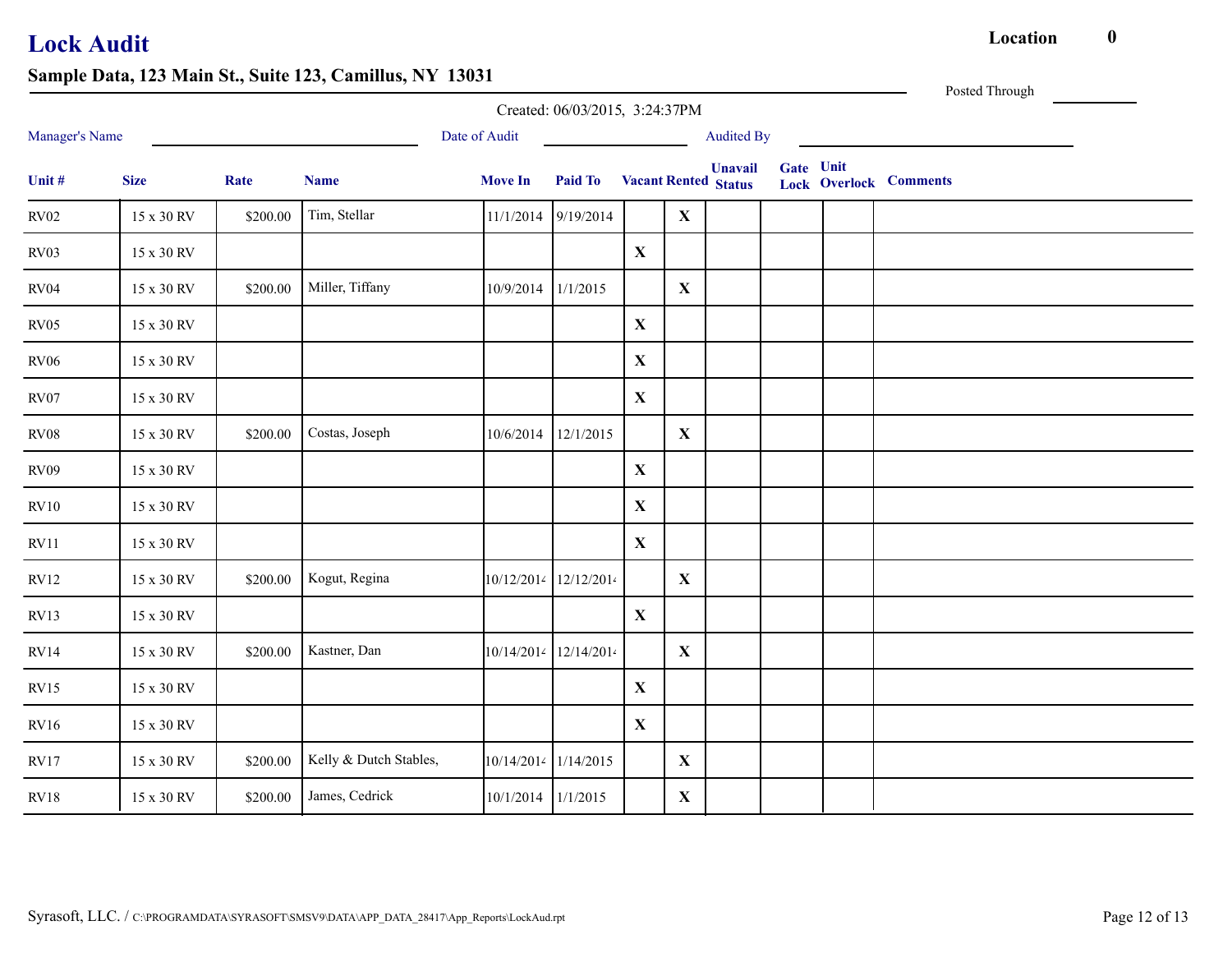|                |             |          |                        |                    |                                     |              |              |                   |           | Posted Through                |  |
|----------------|-------------|----------|------------------------|--------------------|-------------------------------------|--------------|--------------|-------------------|-----------|-------------------------------|--|
|                |             |          |                        |                    | Created: 06/03/2015, 3:24:37PM      |              |              |                   |           |                               |  |
| Manager's Name |             |          |                        | Date of Audit      |                                     |              |              | <b>Audited By</b> |           |                               |  |
| Unit #         | <b>Size</b> | Rate     | <b>Name</b>            | <b>Move In</b>     | <b>Paid To</b> Vacant Rented Status |              |              | <b>Unavail</b>    | Gate Unit | <b>Lock Overlock Comments</b> |  |
| RV02           | 15 x 30 RV  | \$200.00 | Tim, Stellar           | 11/1/2014          | 9/19/2014                           |              | $\mathbf{X}$ |                   |           |                               |  |
| RV03           | 15 x 30 RV  |          |                        |                    |                                     | $\mathbf X$  |              |                   |           |                               |  |
| RV04           | 15 x 30 RV  | \$200.00 | Miller, Tiffany        | 10/9/2014          | 1/1/2015                            |              | $\mathbf{X}$ |                   |           |                               |  |
| RV05           | 15 x 30 RV  |          |                        |                    |                                     | $\mathbf X$  |              |                   |           |                               |  |
| RV06           | 15 x 30 RV  |          |                        |                    |                                     | $\mathbf X$  |              |                   |           |                               |  |
| RV07           | 15 x 30 RV  |          |                        |                    |                                     | $\mathbf X$  |              |                   |           |                               |  |
| RV08           | 15 x 30 RV  | \$200.00 | Costas, Joseph         | 10/6/2014          | 12/1/2015                           |              | $\mathbf{X}$ |                   |           |                               |  |
| <b>RV09</b>    | 15 x 30 RV  |          |                        |                    |                                     | $\mathbf{X}$ |              |                   |           |                               |  |
| RV10           | 15 x 30 RV  |          |                        |                    |                                     | $\mathbf X$  |              |                   |           |                               |  |
| RV11           | 15 x 30 RV  |          |                        |                    |                                     | $\mathbf{X}$ |              |                   |           |                               |  |
| RV12           | 15 x 30 RV  | \$200.00 | Kogut, Regina          |                    | 10/12/2014 12/12/2014               |              | $\mathbf{X}$ |                   |           |                               |  |
| RV13           | 15 x 30 RV  |          |                        |                    |                                     | $\mathbf X$  |              |                   |           |                               |  |
| RV14           | 15 x 30 RV  | \$200.00 | Kastner, Dan           |                    | 10/14/2014 12/14/2014               |              | $\mathbf{X}$ |                   |           |                               |  |
| RV15           | 15 x 30 RV  |          |                        |                    |                                     | $\mathbf X$  |              |                   |           |                               |  |
| RV16           | 15 x 30 RV  |          |                        |                    |                                     | $\mathbf X$  |              |                   |           |                               |  |
| RV17           | 15 x 30 RV  | \$200.00 | Kelly & Dutch Stables, |                    | 10/14/2014 1/14/2015                |              | $\mathbf{X}$ |                   |           |                               |  |
| RV18           | 15 x 30 RV  | \$200.00 | James, Cedrick         | 10/1/2014 1/1/2015 |                                     |              | $\mathbf{X}$ |                   |           |                               |  |